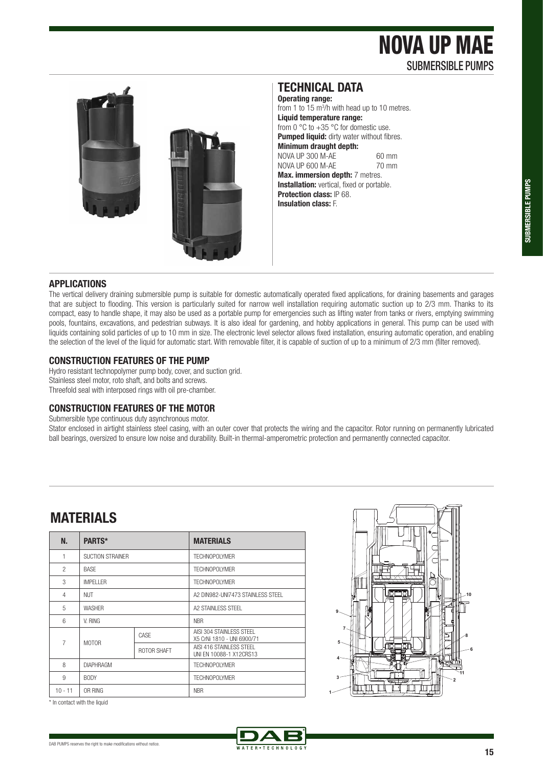# NOVA UP MAE SUBMERSIBLE PUMPS



### **TECHNICAL DATA**

**Operating range:**  from 1 to  $15 \text{ m}^3$ /h with head up to 10 metres. **Liquid temperature range:**  from 0  $\degree$ C to +35  $\degree$ C for domestic use. **Pumped liquid:** dirty water without fibres. **Minimum draught depth:**  NOVA UP 300 M-AE 60 mm<br>NOVA UP 600 M-AF 70 mm NOVA UP 600 M-AF **Max. immersion depth:** 7 metres. **Installation:** vertical, fixed or portable. **Protection class:** IP 68. **Insulation class:** F.

#### **APPLICATIONS**

The vertical delivery draining submersible pump is suitable for domestic automatically operated fixed applications, for draining basements and garages that are subject to flooding. This version is particularly suited for narrow well installation requiring automatic suction up to 2/3 mm. Thanks to its compact, easy to handle shape, it may also be used as a portable pump for emergencies such as lifting water from tanks or rivers, emptying swimming pools, fountains, excavations, and pedestrian subways. It is also ideal for gardening, and hobby applications in general. This pump can be used with liquids containing solid particles of up to 10 mm in size. The electronic level selector allows fixed installation, ensuring automatic operation, and enabling the selection of the level of the liquid for automatic start. With removable filter, it is capable of suction of up to a minimum of 2/3 mm (filter removed).

#### **CONSTRUCTION FEATURES OF THE PUMP**

Hydro resistant technopolymer pump body, cover, and suction grid. Stainless steel motor, roto shaft, and bolts and screws. Threefold seal with interposed rings with oil pre-chamber.

#### **CONSTRUCTION FEATURES OF THE MOTOR**

Submersible type continuous duty asynchronous motor.

Stator enclosed in airtight stainless steel casing, with an outer cover that protects the wiring and the capacitor. Rotor running on permanently lubricated ball bearings, oversized to ensure low noise and durability. Built-in thermal-amperometric protection and permanently connected capacitor.

### **MATERIALS**

| N.             | PARTS*            |             | <b>MATERIALS</b>                                        |  |  |  |  |
|----------------|-------------------|-------------|---------------------------------------------------------|--|--|--|--|
| 1              | SUCTION STRAINER  |             | TFCHNOPOI YMFR                                          |  |  |  |  |
| $\mathfrak{p}$ | <b>BASE</b>       |             | <b>TECHNOPOLYMER</b>                                    |  |  |  |  |
| 3              | <b>IMPFI I FR</b> |             | TFCHNOPOI YMFR                                          |  |  |  |  |
| 4              | <b>NUT</b>        |             | A2 DIN982-UNI7473 STAINLESS STEEL                       |  |  |  |  |
| 5              | <b>WASHER</b>     |             | A2 STAINLESS STEEL                                      |  |  |  |  |
| 6              | V. RING           |             | <b>NBR</b>                                              |  |  |  |  |
| $\overline{7}$ | <b>MOTOR</b>      | CASE        | AISI 304 STAINI FSS STFFL<br>X5 CrNi 1810 - UNI 6900/71 |  |  |  |  |
|                |                   | ROTOR SHAFT | AISI 416 STAINLESS STEEL<br>UNI EN 10088-1 X12CRS13     |  |  |  |  |
| 8              | <b>DIAPHRAGM</b>  |             | <b>TECHNOPOLYMER</b>                                    |  |  |  |  |
| 9              | <b>BODY</b>       |             | TFCHNOPOI YMFR                                          |  |  |  |  |
| $10 - 11$      | OR RING           |             | <b>NBR</b>                                              |  |  |  |  |



\* In contact with the liquid



**1**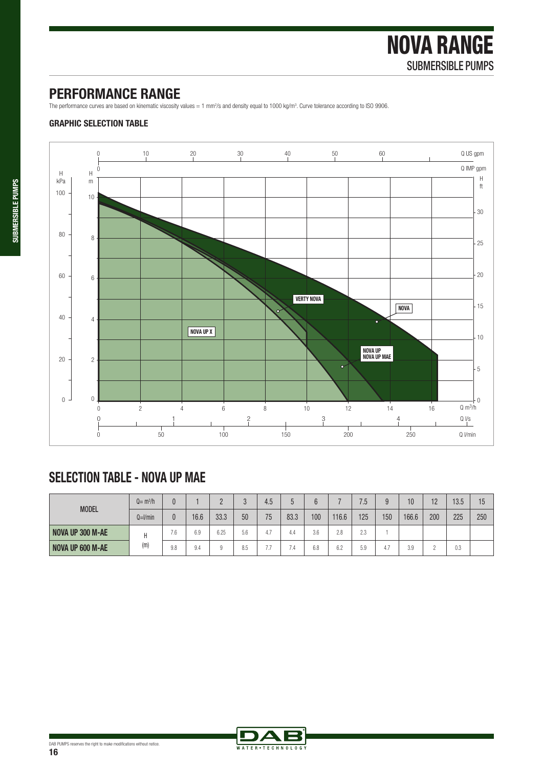### **PERFORMANCE RANGE**

The performance curves are based on kinematic viscosity values = 1 mm<sup>2</sup>/s and density equal to 1000 kg/m<sup>3</sup>. Curve tolerance according to ISO 9906.

#### **GRAPHIC SELECTION TABLE**



## **SELECTION TABLE - NOVA UP MAE**

| <b>MODEL</b>     | $Q = m^3/h$  |     |      |      |     | 4.5 |      |     |       | 7.5       |     | 10    | 12  | 13.5 | 15  |
|------------------|--------------|-----|------|------|-----|-----|------|-----|-------|-----------|-----|-------|-----|------|-----|
|                  | $Q=$ $l/min$ | 0   | 16.6 | 33.3 | 50  | 75  | 83.3 | 100 | 116.6 | 125       | 150 | 166.6 | 200 | 225  | 250 |
| NOVA UP 300 M-AE | (m)          | 7.6 | 6.9  | 6.25 | 5.6 | а   |      | 3.6 | 2.8   | りく<br>ں ک |     |       |     |      |     |
| NOVA UP 600 M-AE |              | 9.8 | 9.4  |      | 8.5 | - - | -    | 6.8 | 6.2   | 5.9       | 4.7 | 3.9   |     | 0.3  |     |